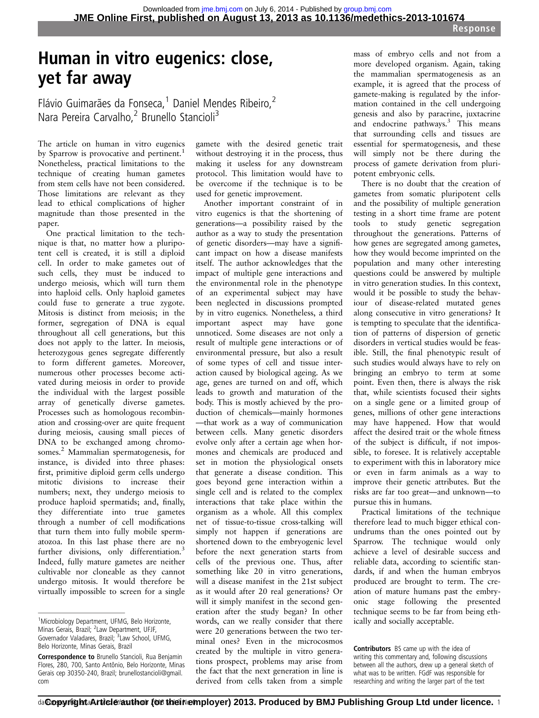# Human in vitro eugenics: close, yet far away

Flávio Guimarães da Fonseca,<sup>1</sup> Daniel Mendes Ribeiro,<sup>2</sup> Nara Pereira Carvalho,<sup>2</sup> Brunello Stancioli<sup>3</sup>

The article on human in vitro eugenics by Sparrow is provocative and pertinent.<sup>1</sup> Nonetheless, practical limitations to the technique of creating human gametes from stem cells have not been considered. Those limitations are relevant as they lead to ethical complications of higher magnitude than those presented in the paper.

One practical limitation to the technique is that, no matter how a pluripotent cell is created, it is still a diploid cell. In order to make gametes out of such cells, they must be induced to undergo meiosis, which will turn them into haploid cells. Only haploid gametes could fuse to generate a true zygote. Mitosis is distinct from meiosis; in the former, segregation of DNA is equal throughout all cell generations, but this does not apply to the latter. In meiosis, heterozygous genes segregate differently to form different gametes. Moreover, numerous other processes become activated during meiosis in order to provide the individual with the largest possible array of genetically diverse gametes. Processes such as homologous recombination and crossing-over are quite frequent during meiosis, causing small pieces of DNA to be exchanged among chromosomes.2 Mammalian spermatogenesis, for instance, is divided into three phases: first, primitive diploid germ cells undergo mitotic divisions to increase their numbers; next, they undergo meiosis to produce haploid spermatids; and, finally, they differentiate into true gametes through a number of cell modifications that turn them into fully mobile spermatozoa. In this last phase there are no further divisions, only differentiation.<sup>3</sup> Indeed, fully mature gametes are neither cultivable nor cloneable as they cannot undergo mitosis. It would therefore be virtually impossible to screen for a single

gamete with the desired genetic trait without destroying it in the process, thus making it useless for any downstream protocol. This limitation would have to be overcome if the technique is to be used for genetic improvement.

Another important constraint of in vitro eugenics is that the shortening of generations—a possibility raised by the author as a way to study the presentation of genetic disorders—may have a significant impact on how a disease manifests itself. The author acknowledges that the impact of multiple gene interactions and the environmental role in the phenotype of an experimental subject may have been neglected in discussions prompted by in vitro eugenics. Nonetheless, a third important aspect may have gone unnoticed. Some diseases are not only a result of multiple gene interactions or of environmental pressure, but also a result of some types of cell and tissue interaction caused by biological ageing. As we age, genes are turned on and off, which leads to growth and maturation of the body. This is mostly achieved by the production of chemicals—mainly hormones —that work as a way of communication between cells. Many genetic disorders evolve only after a certain age when hormones and chemicals are produced and set in motion the physiological onsets that generate a disease condition. This goes beyond gene interaction within a single cell and is related to the complex interactions that take place within the organism as a whole. All this complex net of tissue-to-tissue cross-talking will simply not happen if generations are shortened down to the embryogenic level before the next generation starts from cells of the previous one. Thus, after something like 20 in vitro generations, will a disease manifest in the 21st subject as it would after 20 real generations? Or will it simply manifest in the second generation after the study began? In other words, can we really consider that there were 20 generations between the two terminal ones? Even in the microcosmos created by the multiple in vitro generations prospect, problems may arise from the fact that the next generation in line is derived from cells taken from a simple

mass of embryo cells and not from a more developed organism. Again, taking the mammalian spermatogenesis as an example, it is agreed that the process of gamete-making is regulated by the information contained in the cell undergoing genesis and also by paracrine, juxtacrine and endocrine pathways.3 This means that surrounding cells and tissues are essential for spermatogenesis, and these will simply not be there during the process of gamete derivation from pluripotent embryonic cells.

There is no doubt that the creation of gametes from somatic pluripotent cells and the possibility of multiple generation testing in a short time frame are potent tools to study genetic segregation throughout the generations. Patterns of how genes are segregated among gametes, how they would become imprinted on the population and many other interesting questions could be answered by multiple in vitro generation studies. In this context, would it be possible to study the behaviour of disease-related mutated genes along consecutive in vitro generations? It is tempting to speculate that the identification of patterns of dispersion of genetic disorders in vertical studies would be feasible. Still, the final phenotypic result of such studies would always have to rely on bringing an embryo to term at some point. Even then, there is always the risk that, while scientists focused their sights on a single gene or a limited group of genes, millions of other gene interactions may have happened. How that would affect the desired trait or the whole fitness of the subject is difficult, if not impossible, to foresee. It is relatively acceptable to experiment with this in laboratory mice or even in farm animals as a way to improve their genetic attributes. But the risks are far too great—and unknown—to pursue this in humans.

Practical limitations of the technique therefore lead to much bigger ethical conundrums than the ones pointed out by Sparrow. The technique would only achieve a level of desirable success and reliable data, according to scientific standards, if and when the human embryos produced are brought to term. The creation of mature humans past the embryonic stage following the presented technique seems to be far from being ethically and socially acceptable.

Contributors BS came up with the idea of writing this commentary and, following discussions between all the authors, drew up a general sketch of what was to be written. FGdF was responsible for researching and writing the larger part of the text

<sup>&</sup>lt;sup>1</sup>Microbiology Department, UFMG, Belo Horizonte, Minas Gerais, Brazil; <sup>2</sup> Law Department, UFJF, Governador Valadares, Brazil; <sup>3</sup> Law School, UFMG, Belo Horizonte, Minas Gerais, Brazil

Correspondence to Brunello Stancioli, Rua Benjamin Flores, 280, 700, Santo Antônio, Belo Horizonte, Minas Gerais cep 30350-240, Brazil; brunellostancioli@gmail. com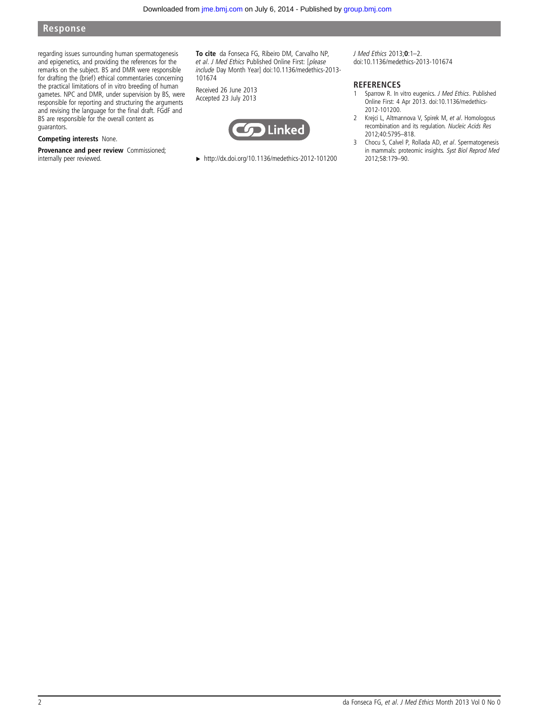### Response

regarding issues surrounding human spermatogenesis and epigenetics, and providing the references for the remarks on the subject. BS and DMR were responsible for drafting the (brief) ethical commentaries concerning the practical limitations of in vitro breeding of human gametes. NPC and DMR, under supervision by BS, were responsible for reporting and structuring the arguments and revising the language for the final draft. FGdF and BS are responsible for the overall content as guarantors.

#### Competing interests None.

Provenance and peer review Commissioned; internally peer reviewed.

To cite da Fonseca FG, Ribeiro DM, Carvalho NP, et al. J Med Ethics Published Online First: [please include Day Month Year] doi:10.1136/medethics-2013- 101674

Received 26 June 2013 Accepted 23 July 2013



▸ <http://dx.doi.org/10.1136/medethics-2012-101200>

J Med Ethics 2013;0:1–2. doi:10.1136/medethics-2013-101674

#### **REFERENCES**

- 1 Sparrow R. In vitro eugenics. J Med Ethics. Published Online First: 4 Apr 2013. doi:10.1136/medethics-2012-101200.
- 2 Krejci L, Altmannova V, Spirek M, et al. Homologous recombination and its regulation. Nucleic Acids Res 2012;40:5795–818.
- 3 Chocu S, Calvel P, Rollada AD, et al. Spermatogenesis in mammals: proteomic insights. Syst Biol Reprod Med 2012;58:179–90.